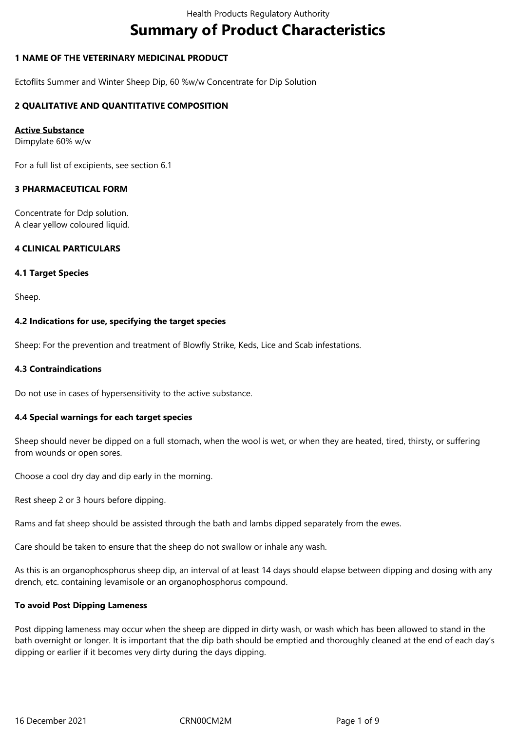# **Summary of Product Characteristics**

# **1 NAME OF THE VETERINARY MEDICINAL PRODUCT**

Ectoflits Summer and Winter Sheep Dip, 60 %w/w Concentrate for Dip Solution

# **2 QUALITATIVE AND QUANTITATIVE COMPOSITION**

## **Active Substance**

Dimpylate 60% w/w

For a full list of excipients, see section 6.1

## **3 PHARMACEUTICAL FORM**

Concentrate for Ddp solution. A clear yellow coloured liquid.

# **4 CLINICAL PARTICULARS**

#### **4.1 Target Species**

Sheep.

## **4.2 Indications for use, specifying the target species**

Sheep: For the prevention and treatment of Blowfly Strike, Keds, Lice and Scab infestations.

## **4.3 Contraindications**

Do not use in cases of hypersensitivity to the active substance.

#### **4.4 Special warnings for each target species**

Sheep should never be dipped on a full stomach, when the wool is wet, or when they are heated, tired, thirsty, or suffering from wounds or open sores.

Choose a cool dry day and dip early in the morning.

Rest sheep 2 or 3 hours before dipping.

Rams and fat sheep should be assisted through the bath and lambs dipped separately from the ewes.

Care should be taken to ensure that the sheep do not swallow or inhale any wash.

As this is an organophosphorus sheep dip, an interval of at least 14 days should elapse between dipping and dosing with any drench, etc. containing levamisole or an organophosphorus compound.

#### **To avoid Post Dipping Lameness**

Post dipping lameness may occur when the sheep are dipped in dirty wash, or wash which has been allowed to stand in the bath overnight or longer. It is important that the dip bath should be emptied and thoroughly cleaned at the end of each day's dipping or earlier if it becomes very dirty during the days dipping.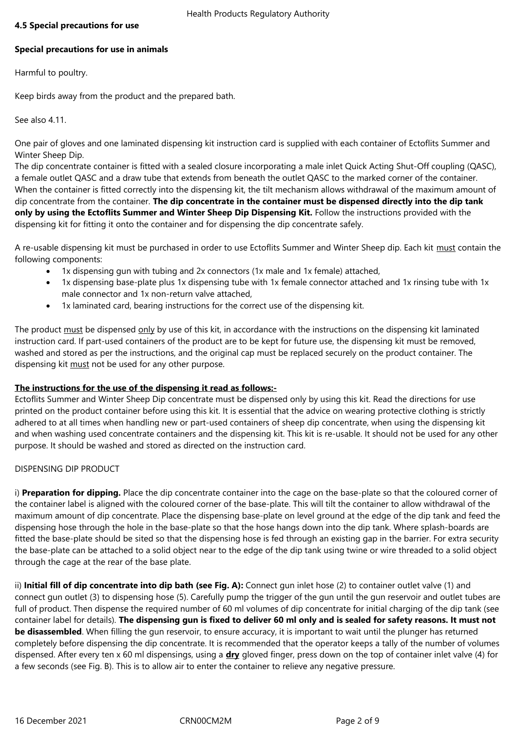## **4.5 Special precautions for use**

# **Special precautions for use in animals**

Harmful to poultry.

Keep birds away from the product and the prepared bath.

See also 4.11.

One pair of gloves and one laminated dispensing kit instruction card is supplied with each container of Ectoflits Summer and Winter Sheep Dip.

The dip concentrate container is fitted with a sealed closure incorporating a male inlet Quick Acting Shut-Off coupling (QASC), a female outlet QASC and a draw tube that extends from beneath the outlet QASC to the marked corner of the container. When the container is fitted correctly into the dispensing kit, the tilt mechanism allows withdrawal of the maximum amount of dip concentrate from the container. **The dip concentrate in the container must be dispensed directly into the dip tank only by using the Ectoflits Summer and Winter Sheep Dip Dispensing Kit.** Follow the instructions provided with the dispensing kit for fitting it onto the container and for dispensing the dip concentrate safely.

A re-usable dispensing kit must be purchased in order to use Ectoflits Summer and Winter Sheep dip. Each kit must contain the following components:

- 1x dispensing gun with tubing and 2x connectors (1x male and 1x female) attached,
- 1x dispensing base-plate plus 1x dispensing tube with 1x female connector attached and 1x rinsing tube with 1x male connector and 1x non-return valve attached,
- 1x laminated card, bearing instructions for the correct use of the dispensing kit.

The product must be dispensed only by use of this kit, in accordance with the instructions on the dispensing kit laminated instruction card. If part-used containers of the product are to be kept for future use, the dispensing kit must be removed, washed and stored as per the instructions, and the original cap must be replaced securely on the product container. The dispensing kit must not be used for any other purpose.

#### **The instructions for the use of the dispensing it read as follows:-**

Ectoflits Summer and Winter Sheep Dip concentrate must be dispensed only by using this kit. Read the directions for use printed on the product container before using this kit. It is essential that the advice on wearing protective clothing is strictly adhered to at all times when handling new or part-used containers of sheep dip concentrate, when using the dispensing kit and when washing used concentrate containers and the dispensing kit. This kit is re-usable. It should not be used for any other purpose. It should be washed and stored as directed on the instruction card.

#### DISPENSING DIP PRODUCT

i) **Preparation for dipping.** Place the dip concentrate container into the cage on the base-plate so that the coloured corner of the container label is aligned with the coloured corner of the base-plate. This will tilt the container to allow withdrawal of the maximum amount of dip concentrate. Place the dispensing base-plate on level ground at the edge of the dip tank and feed the dispensing hose through the hole in the base-plate so that the hose hangs down into the dip tank. Where splash-boards are fitted the base-plate should be sited so that the dispensing hose is fed through an existing gap in the barrier. For extra security the base-plate can be attached to a solid object near to the edge of the dip tank using twine or wire threaded to a solid object through the cage at the rear of the base plate.

ii) Initial fill of dip concentrate into dip bath (see Fig. A): Connect qun inlet hose (2) to container outlet valve (1) and connect gun outlet (3) to dispensing hose (5). Carefully pump the trigger of the gun until the gun reservoir and outlet tubes are full of product. Then dispense the required number of 60 ml volumes of dip concentrate for initial charging of the dip tank (see container label for details). **The dispensing gun is fixed to deliver 60 ml only and is sealed for safety reasons. It must not be disassembled**. When filling the gun reservoir, to ensure accuracy, it is important to wait until the plunger has returned completely before dispensing the dip concentrate. It is recommended that the operator keeps a tally of the number of volumes dispensed. After every ten x 60 ml dispensings, using a **dry** gloved finger, press down on the top of container inlet valve (4) for a few seconds (see Fig. B). This is to allow air to enter the container to relieve any negative pressure.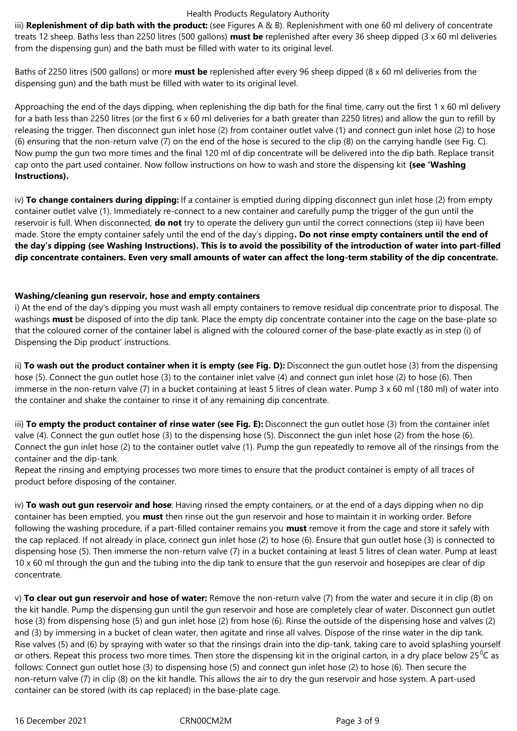#### Health Products Regulatory Authority

iii) **Replenishment of dip bath with the product:** (see Figures A & B). Replenishment with one 60 ml delivery of concentrate treats 12 sheep. Baths less than 2250 litres (500 gallons) **must be** replenished after every 36 sheep dipped (3 x 60 ml deliveries from the dispensing gun) and the bath must be filled with water to its original level.

Baths of 2250 litres (500 gallons) or more **must be** replenished after every 96 sheep dipped (8 x 60 ml deliveries from the dispensing gun) and the bath must be filled with water to its original level.

Approaching the end of the days dipping, when replenishing the dip bath for the final time, carry out the first  $1 \times 60$  ml delivery for a bath less than 2250 litres (or the first 6 x 60 ml deliveries for a bath greater than 2250 litres) and allow the gun to refill by releasing the trigger. Then disconnect gun inlet hose (2) from container outlet valve (1) and connect gun inlet hose (2) to hose (6) ensuring that the non-return valve (7) on the end of the hose is secured to the clip (8) on the carrying handle (see Fig. C). Now pump the gun two more times and the final 120 ml of dip concentrate will be delivered into the dip bath. Replace transit cap onto the part used container. Now follow instructions on how to wash and store the dispensing kit **(see 'Washing Instructions).**

iv) **To change containers during dipping:** If a container is emptied during dipping disconnect gun inlet hose (2) from empty container outlet valve (1). Immediately re-connect to a new container and carefully pump the trigger of the gun until the reservoir is full. When disconnected, **do not** try to operate the delivery gun until the correct connections (step ii) have been made. Store the empty container safely until the end of the day's dipping**. Do not rinse empty containers until the end of the day's dipping (see Washing Instructions). This is to avoid the possibility of the introduction of water into part-filled dip concentrate containers. Even very small amounts of water can affect the long-term stability of the dip concentrate.**

## **Washing/cleaning gun reservoir, hose and empty containers**

i) At the end of the day's dipping you must wash all empty containers to remove residual dip concentrate prior to disposal. The washings **must** be disposed of into the dip tank. Place the empty dip concentrate container into the cage on the base-plate so that the coloured corner of the container label is aligned with the coloured corner of the base-plate exactly as in step (i) of Dispensing the Dip product' instructions.

ii) **To wash out the product container when it is empty (see Fig. D):** Disconnect the gun outlet hose (3) from the dispensing hose (5). Connect the gun outlet hose (3) to the container inlet valve (4) and connect gun inlet hose (2) to hose (6). Then immerse in the non-return valve (7) in a bucket containing at least 5 litres of clean water. Pump 3 x 60 ml (180 ml) of water into the container and shake the container to rinse it of any remaining dip concentrate.

iii) **To empty the product container of rinse water (see Fig. E):** Disconnect the gun outlet hose (3) from the container inlet valve (4). Connect the gun outlet hose (3) to the dispensing hose (5). Disconnect the gun inlet hose (2) from the hose (6). Connect the gun inlet hose (2) to the container outlet valve (1). Pump the gun repeatedly to remove all of the rinsings from the container and the dip-tank.

Repeat the rinsing and emptying processes two more times to ensure that the product container is empty of all traces of product before disposing of the container.

iv) **To wash out gun reservoir and hose**: Having rinsed the empty containers, or at the end of a days dipping when no dip container has been emptied, you **must** then rinse out the gun reservoir and hose to maintain it in working order. Before following the washing procedure, if a part-filled container remains you **must** remove it from the cage and store it safely with the cap replaced. If not already in place, connect gun inlet hose (2) to hose (6). Ensure that gun outlet hose (3) is connected to dispensing hose (5). Then immerse the non-return valve (7) in a bucket containing at least 5 litres of clean water. Pump at least 10 x 60 ml through the gun and the tubing into the dip tank to ensure that the gun reservoir and hosepipes are clear of dip concentrate.

v) **To clear out gun reservoir and hose of water:** Remove the non-return valve (7) from the water and secure it in clip (8) on the kit handle. Pump the dispensing gun until the gun reservoir and hose are completely clear of water. Disconnect gun outlet hose (3) from dispensing hose (5) and gun inlet hose (2) from hose (6). Rinse the outside of the dispensing hose and valves (2) and (3) by immersing in a bucket of clean water, then agitate and rinse all valves. Dispose of the rinse water in the dip tank. Rise valves (5) and (6) by spraying with water so that the rinsings drain into the dip-tank, taking care to avoid splashing yourself or others. Repeat this process two more times. Then store the dispensing kit in the original carton, in a dry place below  $25^{\circ}$ C as follows: Connect gun outlet hose (3) to dispensing hose (5) and connect gun inlet hose (2) to hose (6). Then secure the non-return valve (7) in clip (8) on the kit handle. This allows the air to dry the gun reservoir and hose system. A part-used container can be stored (with its cap replaced) in the base-plate cage.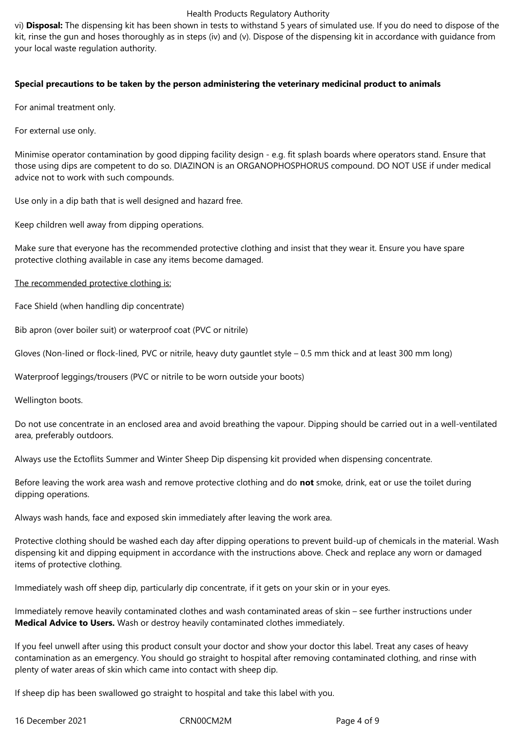#### Health Products Regulatory Authority

vi) **Disposal:** The dispensing kit has been shown in tests to withstand 5 years of simulated use. If you do need to dispose of the kit, rinse the gun and hoses thoroughly as in steps (iv) and (v). Dispose of the dispensing kit in accordance with guidance from your local waste regulation authority.

## **Special precautions to be taken by the person administering the veterinary medicinal product to animals**

For animal treatment only.

For external use only.

Minimise operator contamination by good dipping facility design - e.g. fit splash boards where operators stand. Ensure that those using dips are competent to do so. DIAZINON is an ORGANOPHOSPHORUS compound. DO NOT USE if under medical advice not to work with such compounds.

Use only in a dip bath that is well designed and hazard free.

Keep children well away from dipping operations.

Make sure that everyone has the recommended protective clothing and insist that they wear it. Ensure you have spare protective clothing available in case any items become damaged.

The recommended protective clothing is:

Face Shield (when handling dip concentrate)

Bib apron (over boiler suit) or waterproof coat (PVC or nitrile)

Gloves (Non-lined or flock-lined, PVC or nitrile, heavy duty gauntlet style – 0.5 mm thick and at least 300 mm long)

Waterproof leggings/trousers (PVC or nitrile to be worn outside your boots)

Wellington boots.

Do not use concentrate in an enclosed area and avoid breathing the vapour. Dipping should be carried out in a well-ventilated area, preferably outdoors.

Always use the Ectoflits Summer and Winter Sheep Dip dispensing kit provided when dispensing concentrate.

Before leaving the work area wash and remove protective clothing and do **not** smoke, drink, eat or use the toilet during dipping operations.

Always wash hands, face and exposed skin immediately after leaving the work area.

Protective clothing should be washed each day after dipping operations to prevent build-up of chemicals in the material. Wash dispensing kit and dipping equipment in accordance with the instructions above. Check and replace any worn or damaged items of protective clothing.

Immediately wash off sheep dip, particularly dip concentrate, if it gets on your skin or in your eyes.

Immediately remove heavily contaminated clothes and wash contaminated areas of skin – see further instructions under **Medical Advice to Users.** Wash or destroy heavily contaminated clothes immediately.

If you feel unwell after using this product consult your doctor and show your doctor this label. Treat any cases of heavy contamination as an emergency. You should go straight to hospital after removing contaminated clothing, and rinse with plenty of water areas of skin which came into contact with sheep dip.

If sheep dip has been swallowed go straight to hospital and take this label with you.

16 December 2021 CRN00CM2M Page 4 of 9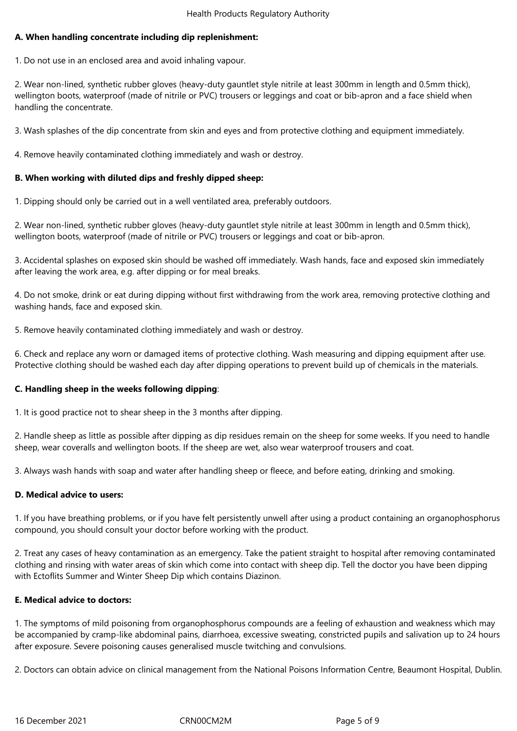# **A. When handling concentrate including dip replenishment:**

1. Do not use in an enclosed area and avoid inhaling vapour.

2. Wear non-lined, synthetic rubber gloves (heavy-duty gauntlet style nitrile at least 300mm in length and 0.5mm thick), wellington boots, waterproof (made of nitrile or PVC) trousers or leggings and coat or bib-apron and a face shield when handling the concentrate.

3. Wash splashes of the dip concentrate from skin and eyes and from protective clothing and equipment immediately.

4. Remove heavily contaminated clothing immediately and wash or destroy.

## **B. When working with diluted dips and freshly dipped sheep:**

1. Dipping should only be carried out in a well ventilated area, preferably outdoors.

2. Wear non-lined, synthetic rubber gloves (heavy-duty gauntlet style nitrile at least 300mm in length and 0.5mm thick), wellington boots, waterproof (made of nitrile or PVC) trousers or leggings and coat or bib-apron.

3. Accidental splashes on exposed skin should be washed off immediately. Wash hands, face and exposed skin immediately after leaving the work area, e.g. after dipping or for meal breaks.

4. Do not smoke, drink or eat during dipping without first withdrawing from the work area, removing protective clothing and washing hands, face and exposed skin.

5. Remove heavily contaminated clothing immediately and wash or destroy.

6. Check and replace any worn or damaged items of protective clothing. Wash measuring and dipping equipment after use. Protective clothing should be washed each day after dipping operations to prevent build up of chemicals in the materials.

#### **C. Handling sheep in the weeks following dipping**:

1. It is good practice not to shear sheep in the 3 months after dipping.

2. Handle sheep as little as possible after dipping as dip residues remain on the sheep for some weeks. If you need to handle sheep, wear coveralls and wellington boots. If the sheep are wet, also wear waterproof trousers and coat.

3. Always wash hands with soap and water after handling sheep or fleece, and before eating, drinking and smoking.

#### **D. Medical advice to users:**

1. If you have breathing problems, or if you have felt persistently unwell after using a product containing an organophosphorus compound, you should consult your doctor before working with the product.

2. Treat any cases of heavy contamination as an emergency. Take the patient straight to hospital after removing contaminated clothing and rinsing with water areas of skin which come into contact with sheep dip. Tell the doctor you have been dipping with Ectoflits Summer and Winter Sheep Dip which contains Diazinon.

#### **E. Medical advice to doctors:**

1. The symptoms of mild poisoning from organophosphorus compounds are a feeling of exhaustion and weakness which may be accompanied by cramp-like abdominal pains, diarrhoea, excessive sweating, constricted pupils and salivation up to 24 hours after exposure. Severe poisoning causes generalised muscle twitching and convulsions.

2. Doctors can obtain advice on clinical management from the National Poisons Information Centre, Beaumont Hospital, Dublin.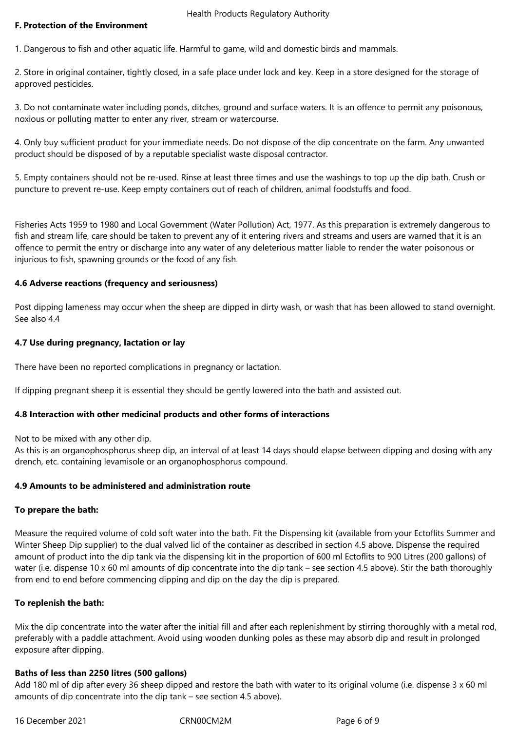#### **F. Protection of the Environment**

1. Dangerous to fish and other aquatic life. Harmful to game, wild and domestic birds and mammals.

2. Store in original container, tightly closed, in a safe place under lock and key. Keep in a store designed for the storage of approved pesticides.

3. Do not contaminate water including ponds, ditches, ground and surface waters. It is an offence to permit any poisonous, noxious or polluting matter to enter any river, stream or watercourse.

4. Only buy sufficient product for your immediate needs. Do not dispose of the dip concentrate on the farm. Any unwanted product should be disposed of by a reputable specialist waste disposal contractor.

5. Empty containers should not be re-used. Rinse at least three times and use the washings to top up the dip bath. Crush or puncture to prevent re-use. Keep empty containers out of reach of children, animal foodstuffs and food.

Fisheries Acts 1959 to 1980 and Local Government (Water Pollution) Act, 1977. As this preparation is extremely dangerous to fish and stream life, care should be taken to prevent any of it entering rivers and streams and users are warned that it is an offence to permit the entry or discharge into any water of any deleterious matter liable to render the water poisonous or injurious to fish, spawning grounds or the food of any fish.

#### **4.6 Adverse reactions (frequency and seriousness)**

Post dipping lameness may occur when the sheep are dipped in dirty wash, or wash that has been allowed to stand overnight. See also 4.4

#### **4.7 Use during pregnancy, lactation or lay**

There have been no reported complications in pregnancy or lactation.

If dipping pregnant sheep it is essential they should be gently lowered into the bath and assisted out.

#### **4.8 Interaction with other medicinal products and other forms of interactions**

Not to be mixed with any other dip.

As this is an organophosphorus sheep dip, an interval of at least 14 days should elapse between dipping and dosing with any drench, etc. containing levamisole or an organophosphorus compound.

#### **4.9 Amounts to be administered and administration route**

#### **To prepare the bath:**

Measure the required volume of cold soft water into the bath. Fit the Dispensing kit (available from your Ectoflits Summer and Winter Sheep Dip supplier) to the dual valved lid of the container as described in section 4.5 above. Dispense the required amount of product into the dip tank via the dispensing kit in the proportion of 600 ml Ectoflits to 900 Litres (200 gallons) of water (i.e. dispense 10 x 60 ml amounts of dip concentrate into the dip tank – see section 4.5 above). Stir the bath thoroughly from end to end before commencing dipping and dip on the day the dip is prepared.

#### **To replenish the bath:**

Mix the dip concentrate into the water after the initial fill and after each replenishment by stirring thoroughly with a metal rod, preferably with a paddle attachment. Avoid using wooden dunking poles as these may absorb dip and result in prolonged exposure after dipping.

#### **Baths of less than 2250 litres (500 gallons)**

Add 180 ml of dip after every 36 sheep dipped and restore the bath with water to its original volume (i.e. dispense 3 x 60 ml amounts of dip concentrate into the dip tank – see section 4.5 above).

16 December 2021 CRN00CM2M Page 6 of 9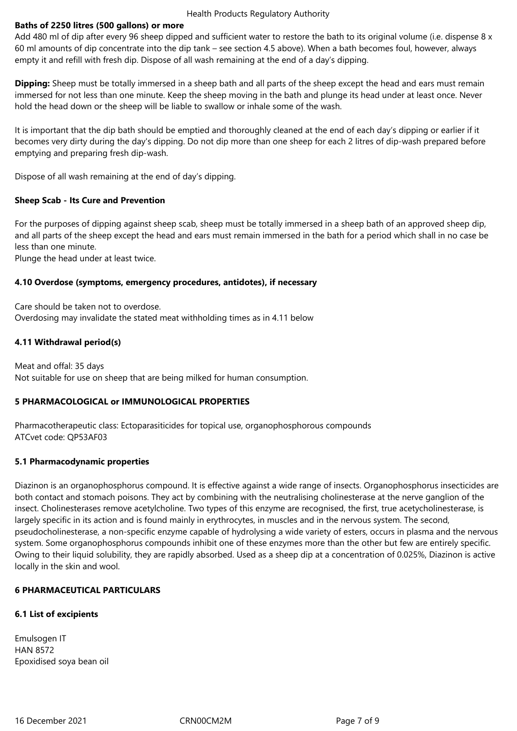#### Health Products Regulatory Authority

## **Baths of 2250 litres (500 gallons) or more**

Add 480 ml of dip after every 96 sheep dipped and sufficient water to restore the bath to its original volume (i.e. dispense 8 x 60 ml amounts of dip concentrate into the dip tank – see section 4.5 above). When a bath becomes foul, however, always empty it and refill with fresh dip. Dispose of all wash remaining at the end of a day's dipping.

**Dipping:** Sheep must be totally immersed in a sheep bath and all parts of the sheep except the head and ears must remain immersed for not less than one minute. Keep the sheep moving in the bath and plunge its head under at least once. Never hold the head down or the sheep will be liable to swallow or inhale some of the wash.

It is important that the dip bath should be emptied and thoroughly cleaned at the end of each day's dipping or earlier if it becomes very dirty during the day's dipping. Do not dip more than one sheep for each 2 litres of dip-wash prepared before emptying and preparing fresh dip-wash.

Dispose of all wash remaining at the end of day's dipping.

## **Sheep Scab - Its Cure and Prevention**

For the purposes of dipping against sheep scab, sheep must be totally immersed in a sheep bath of an approved sheep dip, and all parts of the sheep except the head and ears must remain immersed in the bath for a period which shall in no case be less than one minute.

Plunge the head under at least twice.

#### **4.10 Overdose (symptoms, emergency procedures, antidotes), if necessary**

Care should be taken not to overdose. Overdosing may invalidate the stated meat withholding times as in 4.11 below

# **4.11 Withdrawal period(s)**

Meat and offal: 35 days Not suitable for use on sheep that are being milked for human consumption.

# **5 PHARMACOLOGICAL or IMMUNOLOGICAL PROPERTIES**

Pharmacotherapeutic class: Ectoparasiticides for topical use, organophosphorous compounds ATCvet code: QP53AF03

#### **5.1 Pharmacodynamic properties**

Diazinon is an organophosphorus compound. It is effective against a wide range of insects. Organophosphorus insecticides are both contact and stomach poisons. They act by combining with the neutralising cholinesterase at the nerve ganglion of the insect. Cholinesterases remove acetylcholine. Two types of this enzyme are recognised, the first, true acetycholinesterase, is largely specific in its action and is found mainly in erythrocytes, in muscles and in the nervous system. The second, pseudocholinesterase, a non-specific enzyme capable of hydrolysing a wide variety of esters, occurs in plasma and the nervous system. Some organophosphorus compounds inhibit one of these enzymes more than the other but few are entirely specific. Owing to their liquid solubility, they are rapidly absorbed. Used as a sheep dip at a concentration of 0.025%, Diazinon is active locally in the skin and wool.

# **6 PHARMACEUTICAL PARTICULARS**

# **6.1 List of excipients**

Emulsogen IT HAN 8572 Epoxidised soya bean oil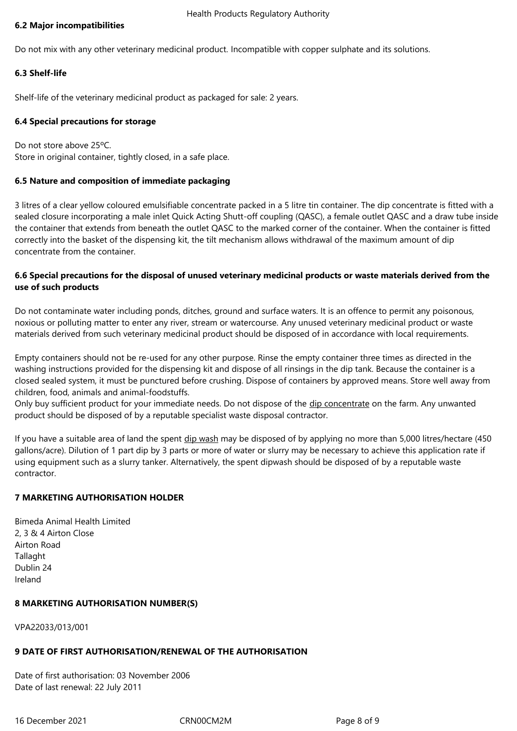## **6.2 Major incompatibilities**

Do not mix with any other veterinary medicinal product. Incompatible with copper sulphate and its solutions.

# **6.3 Shelf-life**

Shelf-life of the veterinary medicinal product as packaged for sale: 2 years.

## **6.4 Special precautions for storage**

Do not store above 25ºC. Store in original container, tightly closed, in a safe place.

## **6.5 Nature and composition of immediate packaging**

3 litres of a clear yellow coloured emulsifiable concentrate packed in a 5 litre tin container. The dip concentrate is fitted with a sealed closure incorporating a male inlet Quick Acting Shutt-off coupling (QASC), a female outlet QASC and a draw tube inside the container that extends from beneath the outlet QASC to the marked corner of the container. When the container is fitted correctly into the basket of the dispensing kit, the tilt mechanism allows withdrawal of the maximum amount of dip concentrate from the container.

# **6.6 Special precautions for the disposal of unused veterinary medicinal products or waste materials derived from the use of such products**

Do not contaminate water including ponds, ditches, ground and surface waters. It is an offence to permit any poisonous, noxious or polluting matter to enter any river, stream or watercourse. Any unused veterinary medicinal product or waste materials derived from such veterinary medicinal product should be disposed of in accordance with local requirements.

Empty containers should not be re-used for any other purpose. Rinse the empty container three times as directed in the washing instructions provided for the dispensing kit and dispose of all rinsings in the dip tank. Because the container is a closed sealed system, it must be punctured before crushing. Dispose of containers by approved means. Store well away from children, food, animals and animal-foodstuffs.

Only buy sufficient product for your immediate needs. Do not dispose of the dip concentrate on the farm. Any unwanted product should be disposed of by a reputable specialist waste disposal contractor.

If you have a suitable area of land the spent dip wash may be disposed of by applying no more than 5,000 litres/hectare (450 gallons/acre). Dilution of 1 part dip by 3 parts or more of water or slurry may be necessary to achieve this application rate if using equipment such as a slurry tanker. Alternatively, the spent dipwash should be disposed of by a reputable waste contractor.

# **7 MARKETING AUTHORISATION HOLDER**

Bimeda Animal Health Limited 2, 3 & 4 Airton Close Airton Road **Tallaght** Dublin 24 Ireland

#### **8 MARKETING AUTHORISATION NUMBER(S)**

VPA22033/013/001

# **9 DATE OF FIRST AUTHORISATION/RENEWAL OF THE AUTHORISATION**

Date of first authorisation: 03 November 2006 Date of last renewal: 22 July 2011